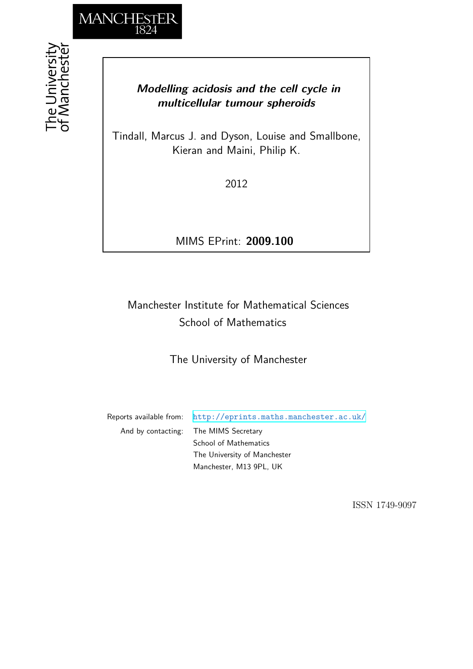

# *Modelling acidosis and the cell cycle in multicellular tumour spheroids*

Tindall, Marcus J. and Dyson, Louise and Smallbone, Kieran and Maini, Philip K.

2012

MIMS EPrint: **2009.100**

# Manchester Institute for Mathematical Sciences School of Mathematics

The University of Manchester

Reports available from: <http://eprints.maths.manchester.ac.uk/> And by contacting: The MIMS Secretary School of Mathematics The University of Manchester Manchester, M13 9PL, UK

ISSN 1749-9097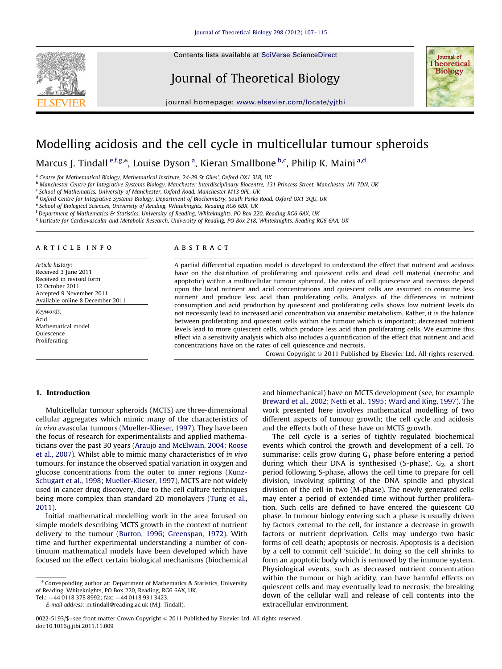Contents lists available at [SciVerse ScienceDirect](www.elsevier.com/locate/yjtbi)



Journal of Theoretical Biology



journal homepage: <www.elsevier.com/locate/yjtbi>

# Modelling acidosis and the cell cycle in multicellular tumour spheroids

Marcus J. Tindall<sup>e,f,g,</sup>\*, Louise Dyson<sup>a</sup>, Kieran Smallbone <sup>b,c</sup>, Philip K. Maini<sup>a,d</sup>

<sup>a</sup> Centre for Mathematical Biology, Mathematical Institute, 24-29 St Giles', Oxford OX1 3LB, UK

**b Manchester Centre for Integrative Systems Biology, Manchester Interdisciplinary Biocentre, 131 Princess Street, Manchester M1 7DN, UK** 

<sup>c</sup> School of Mathematics, University of Manchester, Oxford Road, Manchester M13 9PL, UK

<sup>d</sup> Oxford Centre for Integrative Systems Biology, Department of Biochemistry, South Parks Road, Oxford OX1 3QU, UK

e School of Biological Sciences, University of Reading, Whiteknights, Reading RG6 6BX, UK

<sup>f</sup> Department of Mathematics & Statistics, University of Reading, Whiteknights, PO Box 220, Reading RG6 6AX, UK

<sup>g</sup> Institute for Cardiovascular and Metabolic Research, University of Reading, PO Box 218, Whiteknights, Reading RG6 6AA, UK

#### article info

Article history: Received 3 June 2011 Received in revised form 12 October 2011 Accepted 9 November 2011 Available online 8 December 2011

Keywords: Acid Mathematical model Quiescence Proliferating

## ABSTRACT

A partial differential equation model is developed to understand the effect that nutrient and acidosis have on the distribution of proliferating and quiescent cells and dead cell material (necrotic and apoptotic) within a multicellular tumour spheroid. The rates of cell quiescence and necrosis depend upon the local nutrient and acid concentrations and quiescent cells are assumed to consume less nutrient and produce less acid than proliferating cells. Analysis of the differences in nutrient consumption and acid production by quiescent and proliferating cells shows low nutrient levels do not necessarily lead to increased acid concentration via anaerobic metabolism. Rather, it is the balance between proliferating and quiescent cells within the tumour which is important; decreased nutrient levels lead to more quiescent cells, which produce less acid than proliferating cells. We examine this effect via a sensitivity analysis which also includes a quantification of the effect that nutrient and acid concentrations have on the rates of cell quiescence and necrosis.

Crown Copyright @ 2011 Published by Elsevier Ltd. All rights reserved.

# 1. Introduction

Multicellular tumour spheroids (MCTS) are three-dimensional cellular aggregates which mimic many of the characteristics of in vivo avascular tumours ([Mueller-Klieser, 1997](#page-9-0)). They have been the focus of research for experimentalists and applied mathematicians over the past 30 years [\(Araujo and McElwain, 2004;](#page-8-0) [Roose](#page-9-0) [et al., 2007\)](#page-9-0). Whilst able to mimic many characteristics of in vivo tumours, for instance the observed spatial variation in oxygen and glucose concentrations from the outer to inner regions ([Kunz-](#page-9-0)[Schugart et al., 1998](#page-9-0); [Mueller-Klieser, 1997\)](#page-9-0), MCTS are not widely used in cancer drug discovery, due to the cell culture techniques being more complex than standard 2D monolayers ([Tung et al.,](#page-9-0) [2011\)](#page-9-0).

Initial mathematical modelling work in the area focused on simple models describing MCTS growth in the context of nutrient delivery to the tumour [\(Burton, 1996;](#page-8-0) [Greenspan, 1972](#page-8-0)). With time and further experimental understanding a number of continuum mathematical models have been developed which have focused on the effect certain biological mechanisms (biochemical

Tel.: +44 0118 378 8992; fax: +44 0118 931 3423.

E-mail address: [m.tindall@reading.ac.uk \(M.J. Tindall\).](mailto:m.tindall@reading.ac.uk)

and biomechanical) have on MCTS development (see, for example [Breward et al., 2002;](#page-8-0) [Netti et al., 1995;](#page-9-0) [Ward and King, 1997](#page-9-0)). The work presented here involves mathematical modelling of two different aspects of tumour growth; the cell cycle and acidosis and the effects both of these have on MCTS growth.

The cell cycle is a series of tightly regulated biochemical events which control the growth and development of a cell. To summarise: cells grow during  $G_1$  phase before entering a period during which their DNA is synthesised (S-phase).  $G_2$ , a short period following S-phase, allows the cell time to prepare for cell division, involving splitting of the DNA spindle and physical division of the cell in two (M-phase). The newly generated cells may enter a period of extended time without further proliferation. Such cells are defined to have entered the quiescent G0 phase. In tumour biology entering such a phase is usually driven by factors external to the cell, for instance a decrease in growth factors or nutrient deprivation. Cells may undergo two basic forms of cell death; apoptosis or necrosis. Apoptosis is a decision by a cell to commit cell 'suicide'. In doing so the cell shrinks to form an apoptotic body which is removed by the immune system. Physiological events, such as decreased nutrient concentration within the tumour or high acidity, can have harmful effects on quiescent cells and may eventually lead to necrosis; the breaking down of the cellular wall and release of cell contents into the extracellular environment.

<sup>n</sup> Corresponding author at: Department of Mathematics & Statistics, University of Reading, Whiteknights, PO Box 220, Reading, RG6 6AX, UK.

<sup>0022-5193/\$ -</sup> see front matter Crown Copyright & 2011 Published by Elsevier Ltd. All rights reserved. doi:[10.1016/j.jtbi.2011.11.009](dx.doi.org/10.1016/j.jtbi.2011.11.009)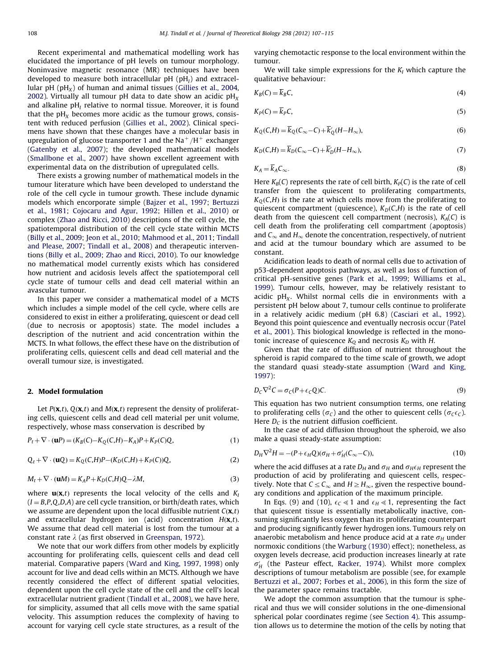Recent experimental and mathematical modelling work has elucidated the importance of pH levels on tumour morphology. Noninvasive magnetic resonance (MR) techniques have been developed to measure both intracellular  $pH$  ( $pH$ <sub>I</sub>) and extracellular pH ( $pH_X$ ) of human and animal tissues ([Gillies et al., 2004,](#page-8-0) [2002\)](#page-8-0). Virtually all tumour pH data to date show an acidic  $pH_X$ and alkaline  $pH<sub>I</sub>$  relative to normal tissue. Moreover, it is found that the  $pH_X$  becomes more acidic as the tumour grows, consistent with reduced perfusion ([Gillies et al., 2002\)](#page-8-0). Clinical specimens have shown that these changes have a molecular basis in upregulation of glucose transporter 1 and the Na<sup> $+$ </sup>/H $+$  exchanger ([Gatenby et al., 2007](#page-8-0)); the developed mathematical models ([Smallbone et al., 2007\)](#page-9-0) have shown excellent agreement with experimental data on the distribution of upregulated cells.

There exists a growing number of mathematical models in the tumour literature which have been developed to understand the role of the cell cycle in tumour growth. These include dynamic models which encorporate simple [\(Bajzer et al., 1997;](#page-8-0) [Bertuzzi](#page-8-0) [et al., 1981](#page-8-0); [Cojocaru and Agur, 1992](#page-8-0); [Hillen et al., 2010](#page-9-0)) or complex [\(Zhao and Ricci, 2010](#page-9-0)) descriptions of the cell cycle, the spatiotemporal distribution of the cell cycle state within MCTS ([Billy et al., 2009](#page-8-0); [Jeon et al., 2010](#page-9-0); [Mahmood et al., 2011](#page-9-0); [Tindall](#page-9-0) [and Please, 2007](#page-9-0); [Tindall et al., 2008\)](#page-9-0) and therapeutic interventions ([Billy et al., 2009](#page-8-0); [Zhao and Ricci, 2010](#page-9-0)). To our knowledge no mathematical model currently exists which has considered how nutrient and acidosis levels affect the spatiotemporal cell cycle state of tumour cells and dead cell material within an avascular tumour.

In this paper we consider a mathematical model of a MCTS which includes a simple model of the cell cycle, where cells are considered to exist in either a proliferating, quiescent or dead cell (due to necrosis or apoptosis) state. The model includes a description of the nutrient and acid concentration within the MCTS. In what follows, the effect these have on the distribution of proliferating cells, quiescent cells and dead cell material and the overall tumour size, is investigated.

# 2. Model formulation

Let  $P(\mathbf{x},t)$ ,  $Q(\mathbf{x},t)$  and  $M(\mathbf{x},t)$  represent the density of proliferating cells, quiescent cells and dead cell material per unit volume, respectively, whose mass conservation is described by

$$
P_t + \nabla \cdot (\mathbf{u}P) = (K_B(C) - K_Q(C, H) - K_A)P + K_P(C)Q,\tag{1}
$$

 $Q_t + \nabla \cdot (\mathbf{u}Q) = K_O(C, H)P - (K_D(C, H) + K_P(C))Q,$  (2)

$$
M_t + \nabla \cdot (\mathbf{u}M) = K_A P + K_D(C, H)Q - \lambda M,\tag{3}
$$

where  $\mathbf{u}(\mathbf{x},t)$  represents the local velocity of the cells and  $K_I$  $(I = B, P, Q, D, A)$  are cell cycle transition, or birth/death rates, which we assume are dependent upon the local diffusible nutrient  $C(\mathbf{x},t)$ and extracellular hydrogen ion (acid) concentration  $H(\mathbf{x},t)$ . We assume that dead cell material is lost from the tumour at a constant rate  $\lambda$  (as first observed in [Greenspan, 1972](#page-8-0)).

We note that our work differs from other models by explicitly accounting for proliferating cells, quiescent cells and dead cell material. Comparative papers [\(Ward and King, 1997,](#page-9-0) [1998\)](#page-9-0) only account for live and dead cells within an MCTS. Although we have recently considered the effect of different spatial velocities, dependent upon the cell cycle state of the cell and the cell's local extracellular nutrient gradient ([Tindall et al., 2008\)](#page-9-0), we have here, for simplicity, assumed that all cells move with the same spatial velocity. This assumption reduces the complexity of having to account for varying cell cycle state structures, as a result of the

varying chemotactic response to the local environment within the tumour.

We will take simple expressions for the  $K_I$  which capture the qualitative behaviour:

$$
K_B(C) = \overline{K}_B C,\tag{4}
$$

$$
K_P(C) = \overline{k}_P C,\tag{5}
$$

$$
K_{\mathcal{Q}}(C,H) = \overline{k}_{\mathcal{Q}}(C_{\infty} - C) + \overline{k}_{\mathcal{Q}}'(H - H_{\infty}),
$$
\n(6)

$$
K_D(C, H) = \overline{K}_D(C_{\infty} - C) + \overline{K}'_D(H - H_{\infty}),
$$
\n(7)

$$
K_A = \overline{k}_A C_\infty. \tag{8}
$$

Here  $K_B(C)$  represents the rate of cell birth,  $K_P(C)$  is the rate of cell transfer from the quiescent to proliferating compartments,  $K<sub>0</sub>(C,H)$  is the rate at which cells move from the proliferating to quiescent compartment (quiescence),  $K_D(C,H)$  is the rate of cell death from the quiescent cell compartment (necrosis),  $K_A(C)$  is cell death from the proliferating cell compartment (apoptosis) and  $C_{\infty}$  and  $H_{\infty}$  denote the concentration, respectively, of nutrient and acid at the tumour boundary which are assumed to be constant.

Acidification leads to death of normal cells due to activation of p53-dependent apoptosis pathways, as well as loss of function of critical pH-sensitive genes ([Park et al., 1999](#page-9-0); [Williams et al.,](#page-9-0) [1999\)](#page-9-0). Tumour cells, however, may be relatively resistant to acidic  $pH<sub>x</sub>$ . Whilst normal cells die in environments with a persistent pH below about 7, tumour cells continue to proliferate in a relatively acidic medium (pH 6.8) [\(Casciari et al., 1992\)](#page-8-0). Beyond this point quiescence and eventually necrosis occur ([Patel](#page-9-0) [et al., 2001\)](#page-9-0). This biological knowledge is reflected in the monotonic increase of quiescence  $K<sub>O</sub>$  and necrosis  $K<sub>D</sub>$  with H.

Given that the rate of diffusion of nutrient throughout the spheroid is rapid compared to the time scale of growth, we adopt the standard quasi steady-state assumption ([Ward and King,](#page-9-0) [1997\)](#page-9-0):

$$
D_{\mathcal{C}}\nabla^2 \mathcal{C} = \sigma_{\mathcal{C}}(P + \epsilon_{\mathcal{C}}Q)\mathcal{C}.
$$
\n(9)

This equation has two nutrient consumption terms, one relating to proliferating cells ( $\sigma_C$ ) and the other to quiescent cells ( $\sigma_C \epsilon_C$ ). Here  $D<sub>C</sub>$  is the nutrient diffusion coefficient.

In the case of acid diffusion throughout the spheroid, we also make a quasi steady-state assumption:

$$
D_H \nabla^2 H = -(P + \epsilon_H Q)(\sigma_H + \sigma'_H(C_{\infty} - C)),
$$
\n(10)

where the acid diffuses at a rate  $D_H$  and  $\sigma_H$  and  $\sigma_H \epsilon_H$  represent the production of acid by proliferating and quiescent cells, respectively. Note that  $C \leq C_{\infty}$  and  $H \geq H_{\infty}$ , given the respective boundary conditions and application of the maximum principle.

In Eqs. (9) and (10),  $\epsilon_C \ll 1$  and  $\epsilon_H \ll 1$ , representing the fact that quiescent tissue is essentially metabolically inactive, consuming significantly less oxygen than its proliferating counterpart and producing significantly fewer hydrogen ions. Tumours rely on anaerobic metabolism and hence produce acid at a rate  $\sigma_H$  under normoxic conditions (the [Warburg \(1930\)](#page-9-0) effect); nonetheless, as oxygen levels decrease, acid production increases linearly at rate  $\sigma'_{H}$  (the Pasteur effect, [Racker, 1974](#page-9-0)). Whilst more complex descriptions of tumour metabolism are possible (see, for example [Bertuzzi et al., 2007](#page-8-0); [Forbes et al., 2006\)](#page-8-0), in this form the size of the parameter space remains tractable.

We adopt the common assumption that the tumour is spherical and thus we will consider solutions in the one-dimensional spherical polar coordinates regime (see [Section 4](#page-4-0)). This assumption allows us to determine the motion of the cells by noting that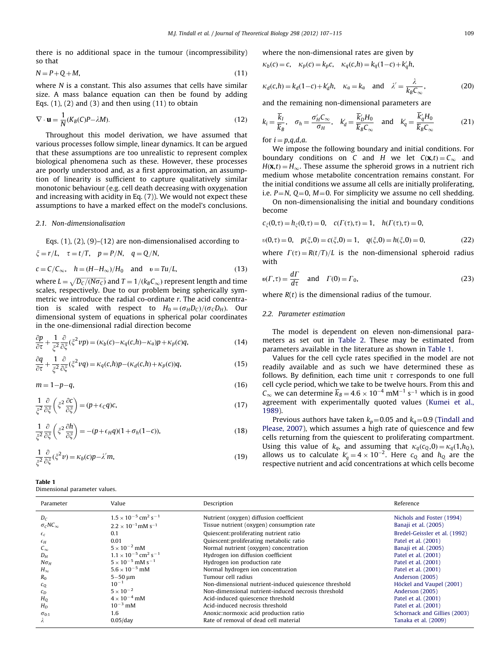<span id="page-3-0"></span>there is no additional space in the tumour (incompressibility) so that

$$
N = P + Q + M,\tag{11}
$$

where N is a constant. This also assumes that cells have similar size. A mass balance equation can then be found by adding Eqs.  $(1)$ ,  $(2)$  and  $(3)$  and then using  $(11)$  to obtain

$$
\nabla \cdot \mathbf{u} = \frac{1}{N} (K_B(C)P - \lambda M). \tag{12}
$$

Throughout this model derivation, we have assumed that various processes follow simple, linear dynamics. It can be argued that these assumptions are too unrealistic to represent complex biological phenomena such as these. However, these processes are poorly understood and, as a first approximation, an assumption of linearity is sufficient to capture qualitatively similar monotonic behaviour (e.g. cell death decreasing with oxygenation and increasing with acidity in Eq. (7)). We would not expect these assumptions to have a marked effect on the model's conclusions.

#### 2.1. Non-dimensionalisation

Eqs.  $(1)$ ,  $(2)$ ,  $(9)$ – $(12)$  are non-dimensionalised according to  $\xi = r/L$ ,  $\tau = t/T$ ,  $p = P/N$ ,  $q = Q/N$ ,  $c = C/C_{\infty}$ ,  $h = (H - H_{\infty})/H_0$  and  $v = Tu/L$ , (13)

where  $L = \sqrt{D_C/(N\sigma_C)}$  and  $T = 1/(k_B C_\infty)$  represent length and time scales, respectively. Due to our problem being spherically symmetric we introduce the radial co-ordinate r. The acid concentration is scaled with respect to  $H_0 = (\sigma_H D_C)/(\sigma_C D_H)$ . Our dimensional system of equations in spherical polar coordinates in the one-dimensional radial direction become

$$
\frac{\partial p}{\partial \tau} + \frac{1}{\xi^2} \frac{\partial}{\partial \xi} (\xi^2 \nu p) = (\kappa_b(c) - \kappa_q(c, h) - \kappa_a) p + \kappa_p(c) q,\tag{14}
$$

$$
\frac{\partial q}{\partial \tau} + \frac{1}{\xi^2} \frac{\partial}{\partial \xi} (\xi^2 \nu q) = \kappa_q(c, h) p - (\kappa_d(c, h) + \kappa_p(c)) q,\tag{15}
$$

$$
m = 1 - p - q,\tag{16}
$$

$$
\frac{1}{\xi^2} \frac{\partial}{\partial \xi} \left( \xi^2 \frac{\partial c}{\partial \xi} \right) = (p + \epsilon_C q) c,\tag{17}
$$

$$
\frac{1}{\xi^2} \frac{\partial}{\partial \xi} \left( \xi^2 \frac{\partial h}{\partial \xi} \right) = -(p + \epsilon_H q)(1 + \sigma_h (1 - c)),\tag{18}
$$

$$
\frac{1}{\xi^2} \frac{\partial}{\partial \xi} (\xi^2 v) = \kappa_b(c) p - \lambda' m,
$$
\n(19)

| Table 1                       |  |
|-------------------------------|--|
| Dimensional parameter values. |  |

where the non-dimensional rates are given by  $\kappa_b(c) = c, \quad \kappa_p(c) = k_p c, \quad \kappa_q(c,h) = k_q(1-c) + k_q'h,$ 

$$
\kappa_d(c,h) = k_d(1-c) + k'_dh, \quad \kappa_a = k_a \quad \text{and} \quad \lambda' = \frac{\lambda}{k_B C_{\infty}},
$$
 (20)

and the remaining non-dimensional parameters are

$$
k_i = \frac{\overline{k}_I}{\overline{k}_B}, \quad \sigma_h = \frac{\sigma'_H C_\infty}{\sigma_H}, \quad k'_d = \frac{\overline{k}'_D H_0}{\overline{k}_B C_\infty} \quad \text{and} \quad k'_q = \frac{k'_q H_0}{\overline{k}_B C_\infty} \tag{21}
$$

for  $i = p,q,d,a$ .

We impose the following boundary and initial conditions. For boundary conditions on C and H we let  $C(\mathbf{x},t) = C_{\infty}$  and  $H(\mathbf{x},t) = H_{\infty}$ . These assume the spheroid grows in a nutrient rich medium whose metabolite concentration remains constant. For the initial conditions we assume all cells are initially proliferating, i.e.  $P=N$ ,  $Q=0$ ,  $M=0$ . For simplicity we assume no cell shedding.

On non-dimensionalising the initial and boundary conditions become

$$
c_{\xi}(0,\tau) = h_{\xi}(0,\tau) = 0
$$
,  $c(\Gamma(\tau),\tau) = 1$ ,  $h(\Gamma(\tau),\tau) = 0$ ,

$$
v(0,\tau) = 0, \quad p(\xi,0) = c(\xi,0) = 1, \quad q(\xi,0) = h(\xi,0) = 0,\tag{22}
$$

where  $\Gamma(\tau) = R(t/T)/L$  is the non-dimensional spheroid radius with

$$
v(\Gamma, \tau) = \frac{d\Gamma}{d\tau} \quad \text{and} \quad \Gamma(0) = \Gamma_0,\tag{23}
$$

where  $R(t)$  is the dimensional radius of the tumour.

#### 2.2. Parameter estimation

The model is dependent on eleven non-dimensional parameters as set out in [Table 2](#page-4-0). These may be estimated from parameters available in the literature as shown in Table 1.

Values for the cell cycle rates specified in the model are not readily available and as such we have determined these as follows. By definition, each time unit  $\tau$  corresponds to one full cell cycle period, which we take to be twelve hours. From this and  $C_{\infty}$  we can determine  $\overline{k}_B = 4.6 \times 10^{-4}$  mM<sup>-1</sup> s<sup>-1</sup> which is in good agreement with experimentally quoted values ([Kumei et al.,](#page-9-0) [1989\)](#page-9-0).

Previous authors have taken  $k_p$ =0.05 and  $k_q$ =0.9 [\(Tindall and](#page-9-0) [Please, 2007](#page-9-0)), which assumes a high rate of quiescence and few cells returning from the quiescent to proliferating compartment. Using this value of  $k_q$ , and assuming that  $\kappa_q(c_Q, 0) = \kappa_q(1, h_Q)$ , allows us to calculate  $k'_q = 4 \times 10^{-2}$ . Here  $c_Q$  and  $h_Q$  are the respective nutrient and acid concentrations at which cells become

| Parameter              | Value                                                | Description                                           | Reference                     |
|------------------------|------------------------------------------------------|-------------------------------------------------------|-------------------------------|
| $D_{\mathcal{C}}$      | $1.5 \times 10^{-5}$ cm <sup>2</sup> s <sup>-1</sup> | Nutrient (oxygen) diffusion coefficient               | Nichols and Foster (1994)     |
| $\sigma_C NC_{\infty}$ | $2.2 \times 10^{-1}$ mM s <sup>-1</sup>              | Tissue nutrient (oxygen) consumption rate             | Banaji et al. (2005)          |
| $\epsilon_c$           | 0.1                                                  | Quiescent: proliferating nutrient ratio               | Bredel-Geissler et al. (1992) |
| $\epsilon_H$           | 0.01                                                 | Quiescent: proliferating metabolic ratio              | Patel et al. (2001)           |
| $C_{\infty}$           | $5 \times 10^{-2}$ mM                                | Normal nutrient (oxygen) concentration                | Banaji et al. (2005)          |
| $D_H$                  | $1.1 \times 10^{-5}$ cm <sup>2</sup> s <sup>-1</sup> | Hydrogen ion diffusion coefficient                    | Patel et al. (2001)           |
| $N\sigma_H$            | $5 \times 10^{-5}$ mM s <sup>-1</sup>                | Hydrogen ion production rate                          | Patel et al. (2001)           |
| $H_{\infty}$           | $5.6 \times 10^{-5}$ mM                              | Normal hydrogen ion concentration                     | Patel et al. (2001)           |
| $R_0$                  | $5-50 \mu m$                                         | Tumour cell radius                                    | Anderson (2005)               |
| $c_{\rm O}$            | $10^{-1}$                                            | Non-dimensional nutrient-induced quiescence threshold | Höckel and Vaupel (2001)      |
| $c_D$                  | $5 \times 10^{-2}$                                   | Non-dimensional nutrient-induced necrosis threshold   | Anderson (2005)               |
| $H_{O}$                | $4 \times 10^{-4}$ mM                                | Acid-induced quiescence threshold                     | Patel et al. (2001)           |
| $H_D$                  | $10^{-3}$ mM                                         | Acid-induced necrosis threshold                       | Patel et al. (2001)           |
| $\sigma_{0:1}$         | 1.6                                                  | Anoxic: normoxic acid production ratio                | Schornack and Gillies (2003)  |
| λ                      | $0.05$ /day                                          | Rate of removal of dead cell material                 | Tanaka et al. (2009)          |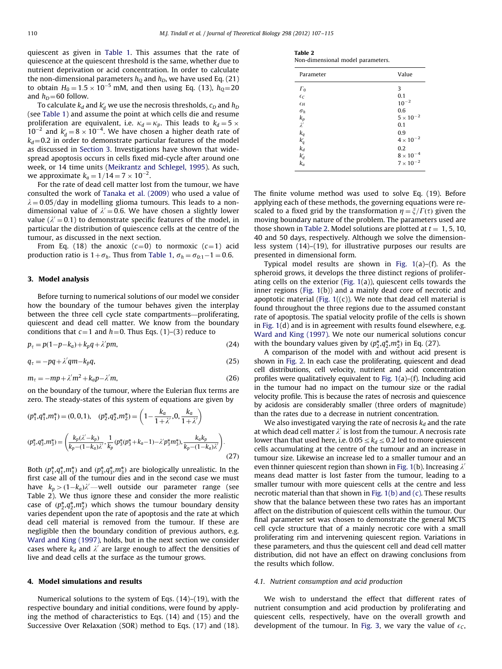<span id="page-4-0"></span>quiescent as given in [Table 1.](#page-3-0) This assumes that the rate of quiescence at the quiescent threshold is the same, whether due to nutrient deprivation or acid concentration. In order to calculate the non-dimensional parameters  $h<sub>O</sub>$  and  $h<sub>D</sub>$ , we have used Eq. (21) to obtain  $H_0 = 1.5 \times 10^{-5}$  mM, and then using Eq. (13),  $h_0 = 20$ and  $h_D$ =60 follow.

To calculate  $k_d$  and  $k_d'$  we use the necrosis thresholds,  $c_D$  and  $h_D$ (see [Table 1](#page-3-0)) and assume the point at which cells die and resume proliferation are equivalent, i.e.  $\kappa_d = \kappa_p$ . This leads to  $k_d = 5 \times$  $10^{-2}$  and  $k'_d = 8 \times 10^{-4}$ . We have chosen a higher death rate of  $k_d$ =0.2 in order to demonstrate particular features of the model as discussed in Section 3. Investigations have shown that widespread apoptosis occurs in cells fixed mid-cycle after around one week, or 14 time units [\(Meikrantz and Schlegel, 1995\)](#page-9-0). As such, we approximate  $k_a = 1/14 = 7 \times 10^{-2}$ .

For the rate of dead cell matter lost from the tumour, we have consulted the work of [Tanaka et al. \(2009\)](#page-9-0) who used a value of  $\lambda = 0.05$ /day in modelling glioma tumours. This leads to a nondimensional value of  $\lambda' = 0.6$ . We have chosen a slightly lower value ( $\lambda'$  = 0.1) to demonstrate specific features of the model, in particular the distribution of quiescence cells at the centre of the tumour, as discussed in the next section.

From Eq. (18) the anoxic  $(c=0)$  to normoxic  $(c=1)$  acid production ratio is  $1+\sigma_h$ . Thus from [Table 1,](#page-3-0)  $\sigma_h = \sigma_{0:1}-1 = 0.6$ .

#### 3. Model analysis

Before turning to numerical solutions of our model we consider how the boundary of the tumour behaves given the interplay between the three cell cycle state compartments—proliferating, quiescent and dead cell matter. We know from the boundary conditions that  $c=1$  and  $h=0$ . Thus Eqs. (1)–(3) reduce to

$$
p_{\tau} = p(1 - p - k_a) + k_p q + \lambda' pm,\tag{24}
$$

$$
q_{\tau} = -pq + \lambda'qm - k_pq,\tag{25}
$$

$$
m_{\tau} = -mp + \lambda'm^2 + k_a p - \lambda'm,\tag{26}
$$

on the boundary of the tumour, where the Eulerian flux terms are zero. The steady-states of this system of equations are given by

$$
(p_1^*, q_1^*, m_1^*) = (0, 0, 1), \quad (p_2^*, q_2^*, m_2^*) = \left(1 - \frac{k_a}{1 + \lambda'}, 0, \frac{k_a}{1 + \lambda'}\right)
$$

$$
(p_3^*, q_3^*, m_3^*) = \left(\frac{k_p(\lambda' - k_p)}{k_p - (1 - k_a)\lambda'}, \frac{1}{k_p}(p_3^*(p_3^* + k_a - 1) - \lambda'p_3^*m_3^*), \frac{k_a k_p}{k_p - (1 - k_a)\lambda'}\right).
$$
(27)

Both  $(p_1^*, q_1^*, m_1^*)$  and  $(p_3^*, q_3^*, m_3^*)$  are biologically unrealistic. In the first case all of the tumour dies and in the second case we must have  $k_p > (1-k_a)\lambda'$ —well outside our parameter range (see Table 2). We thus ignore these and consider the more realistic case of  $(p_2^*, q_2^*, m_2^*)$  which shows the tumour boundary density varies dependent upon the rate of apoptosis and the rate at which dead cell material is removed from the tumour. If these are negligible then the boundary condition of previous authors, e.g. [Ward and King \(1997\)](#page-9-0), holds, but in the next section we consider cases where  $k_d$  and  $\lambda'$  are large enough to affect the densities of live and dead cells at the surface as the tumour grows.

#### 4. Model simulations and results

Numerical solutions to the system of Eqs. (14)–(19), with the respective boundary and initial conditions, were found by applying the method of characteristics to Eqs. (14) and (15) and the Successive Over Relaxation (SOR) method to Eqs. (17) and (18).

Table 2

Non-dimensional model parameters.

| Parameter                                                    | Value                                  |
|--------------------------------------------------------------|----------------------------------------|
| $\Gamma_0$                                                   | 3<br>0.1                               |
| $\epsilon_{\mathsf{C}}$<br>$\epsilon_H$                      | $10^{-2}$                              |
| $\sigma_h$<br>$\begin{array}{c} k_p \\ \lambda' \end{array}$ | 0.6<br>$5 \times 10^{-2}$              |
|                                                              | 0.1<br>0.9                             |
| $\begin{array}{c} k_q \\ k'_q \\ k_d \end{array}$            | $4 \times 10^{-2}$<br>0.2              |
| $\begin{array}{c} k'_d \\ k_a \end{array}$                   | $8 \times 10^{-4}$<br>$7\times10^{-2}$ |
|                                                              |                                        |

The finite volume method was used to solve Eq. (19). Before applying each of these methods, the governing equations were rescaled to a fixed grid by the transformation  $\eta = \xi/\Gamma(\tau)$  given the moving boundary nature of the problem. The parameters used are those shown in Table 2. Model solutions are plotted at  $t = 1, 5, 10$ , 40 and 50 days, respectively. Although we solve the dimensionless system (14)–(19), for illustrative purposes our results are presented in dimensional form.

Typical model results are shown in [Fig. 1\(](#page-5-0)a)–(f). As the spheroid grows, it develops the three distinct regions of proliferating cells on the exterior ([Fig. 1\(](#page-5-0)a)), quiescent cells towards the inner regions [\(Fig. 1\(](#page-5-0)b)) and a mainly dead core of necrotic and apoptotic material (Fig.  $1((c))$ . We note that dead cell material is found throughout the three regions due to the assumed constant rate of apoptosis. The spatial velocity profile of the cells is shown in [Fig. 1](#page-5-0)(d) and is in agreement with results found elsewhere, e.g. [Ward and King \(1997\)](#page-9-0). We note our numerical solutions concur with the boundary values given by  $(p_2^*, q_2^*, m_2^*)$  in Eq. (27).

A comparison of the model with and without acid present is shown in [Fig. 2](#page-6-0). In each case the proliferating, quiescent and dead cell distributions, cell velocity, nutrient and acid concentration profiles were qualitatively equivalent to [Fig. 1\(](#page-5-0)a)–(f). Including acid in the tumour had no impact on the tumour size or the radial velocity profile. This is because the rates of necrosis and quiescence by acidosis are considerably smaller (three orders of magnitude) than the rates due to a decrease in nutrient concentration.

We also investigated varying the rate of necrosis  $k_d$  and the rate at which dead cell matter  $\lambda$  is lost from the tumour. A necrosis rate lower than that used here, i.e.  $0.05 \leq k_d \leq 0.2$  led to more quiescent cells accumulating at the centre of the tumour and an increase in tumour size. Likewise an increase led to a smaller tumour and an even thinner quiescent region than shown in [Fig. 1\(](#page-5-0)b). Increasing  $\lambda'$ means dead matter is lost faster from the tumour, leading to a smaller tumour with more quiescent cells at the centre and less necrotic material than that shown in [Fig. 1\(b\) and \(c\).](#page-5-0) These results show that the balance between these two rates has an important affect on the distribution of quiescent cells within the tumour. Our final parameter set was chosen to demonstrate the general MCTS cell cycle structure that of a mainly necrotic core with a small proliferating rim and intervening quiescent region. Variations in these parameters, and thus the quiescent cell and dead cell matter distribution, did not have an effect on drawing conclusions from the results which follow.

#### 4.1. Nutrient consumption and acid production

We wish to understand the effect that different rates of nutrient consumption and acid production by proliferating and quiescent cells, respectively, have on the overall growth and development of the tumour. In [Fig. 3](#page-7-0), we vary the value of  $\epsilon_C$ ,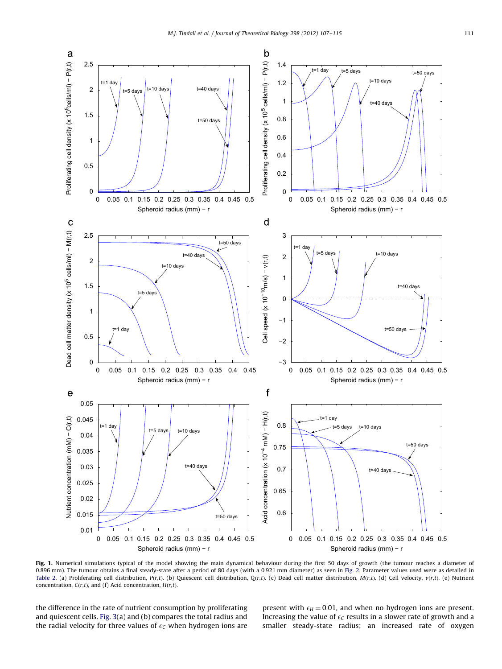<span id="page-5-0"></span>

Fig. 1. Numerical simulations typical of the model showing the main dynamical behaviour during the first 50 days of growth (the tumour reaches a diameter of 0.896 mm). The tumour obtains a final steady-state after a period of 80 days (with a 0.921 mm diameter) as seen in [Fig. 2](#page-6-0). Parameter values used were as detailed in [Table 2.](#page-4-0) (a) Proliferating cell distribution,  $P(r,t)$ . (b) Quiescent cell distribution,  $Q(r,t)$ . (c) Dead cell matter distribution,  $M(r,t)$ . (d) Cell velocity,  $v(r,t)$ . (e) Nutrient concentration,  $C(r,t)$ , and (f) Acid concentration,  $H(r,t)$ .

the difference in the rate of nutrient consumption by proliferating and quiescent cells. [Fig. 3\(](#page-7-0)a) and (b) compares the total radius and the radial velocity for three values of  $\epsilon_C$  when hydrogen ions are present with  $\epsilon_H = 0.01$ , and when no hydrogen ions are present. Increasing the value of  $\epsilon_C$  results in a slower rate of growth and a smaller steady-state radius; an increased rate of oxygen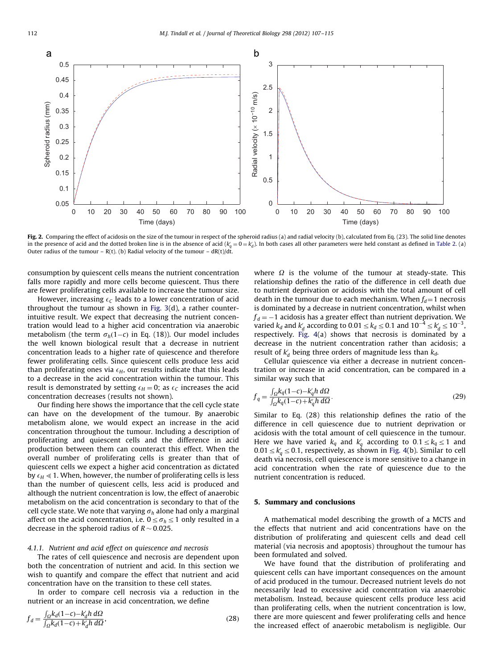<span id="page-6-0"></span>

Fig. 2. Comparing the effect of acidosis on the size of the tumour in respect of the spheroid radius (a) and radial velocity (b), calculated from Eq. (23). The solid line denotes in the presence of acid and the dotted broken line is in the absence of acid ( $k_q^\prime=0=k_d^\prime$ ). In both cases all other parameters were held constant as defined in [Table 2.](#page-4-0) (a) Outer radius of the tumour –  $R(t)$ . (b) Radial velocity of the tumour –  $dR(t)/dt$ .

consumption by quiescent cells means the nutrient concentration falls more rapidly and more cells become quiescent. Thus there are fewer proliferating cells available to increase the tumour size.

However, increasing  $\epsilon_C$  leads to a lower concentration of acid throughout the tumour as shown in [Fig. 3](#page-7-0)(d), a rather counterintuitive result. We expect that decreasing the nutrient concentration would lead to a higher acid concentration via anaerobic metabolism (the term  $\sigma_h(1-c)$  in Eq. (18)). Our model includes the well known biological result that a decrease in nutrient concentration leads to a higher rate of quiescence and therefore fewer proliferating cells. Since quiescent cells produce less acid than proliferating ones via  $\epsilon_H$ , our results indicate that this leads to a decrease in the acid concentration within the tumour. This result is demonstrated by setting  $\epsilon_H = 0$ ; as  $\epsilon_C$  increases the acid concentration decreases (results not shown).

Our finding here shows the importance that the cell cycle state can have on the development of the tumour. By anaerobic metabolism alone, we would expect an increase in the acid concentration throughout the tumour. Including a description of proliferating and quiescent cells and the difference in acid production between them can counteract this effect. When the overall number of proliferating cells is greater than that of quiescent cells we expect a higher acid concentration as dictated by  $\epsilon_H \ll 1$ . When, however, the number of proliferating cells is less than the number of quiescent cells, less acid is produced and although the nutrient concentration is low, the effect of anaerobic metabolism on the acid concentration is secondary to that of the cell cycle state. We note that varying  $\sigma_h$  alone had only a marginal affect on the acid concentration, i.e.  $0 \leq \sigma_h \leq 1$  only resulted in a decrease in the spheroid radius of  $R \sim 0.025$ .

## 4.1.1. Nutrient and acid effect on quiescence and necrosis

The rates of cell quiescence and necrosis are dependent upon both the concentration of nutrient and acid. In this section we wish to quantify and compare the effect that nutrient and acid concentration have on the transition to these cell states.

In order to compare cell necrosis via a reduction in the nutrient or an increase in acid concentration, we define

$$
f_d = \frac{\int_{\Omega} k_d (1 - c) - k'_d h \, d\Omega}{\int_{\Omega} k_d (1 - c) + k'_d h \, d\Omega},\tag{28}
$$

where  $\Omega$  is the volume of the tumour at steady-state. This relationship defines the ratio of the difference in cell death due to nutrient deprivation or acidosis with the total amount of cell death in the tumour due to each mechanism. When  $f_d = 1$  necrosis is dominated by a decrease in nutrient concentration, whilst when  $f_d = -1$  acidosis has a greater effect than nutrient deprivation. We varied  $k_d$  and  $k'_d$  according to  $0.01 \le k_d \le 0.1$  and  $10^{-4} \le k'_d \le 10^{-3}$ , respectively. [Fig. 4\(](#page-8-0)a) shows that necrosis is dominated by a decrease in the nutrient concentration rather than acidosis; a result of  $k_d'$  being three orders of magnitude less than  $k_d$ .

Cellular quiescence via either a decrease in nutrient concentration or increase in acid concentration, can be compared in a similar way such that

$$
f_q = \frac{\int_{\Omega} k_q (1 - c) - k'_q h \, d\Omega}{\int_{\Omega} k_q (1 - c) + k'_q h \, d\Omega}.
$$
\n(29)

Similar to Eq. (28) this relationship defines the ratio of the difference in cell quiescence due to nutrient deprivation or acidosis with the total amount of cell quiescence in the tumour. Here we have varied  $k_q$  and  $k'_q$  according to  $0.1 \leq k_q \leq 1$  and  $0.01 \leq k'_q \leq 0.1$ , respectively, as shown in [Fig. 4](#page-8-0)(b). Similar to cell death via necrosis, cell quiescence is more sensitive to a change in acid concentration when the rate of quiescence due to the nutrient concentration is reduced.

# 5. Summary and conclusions

A mathematical model describing the growth of a MCTS and the effects that nutrient and acid concentrations have on the distribution of proliferating and quiescent cells and dead cell material (via necrosis and apoptosis) throughout the tumour has been formulated and solved.

We have found that the distribution of proliferating and quiescent cells can have important consequences on the amount of acid produced in the tumour. Decreased nutrient levels do not necessarily lead to excessive acid concentration via anaerobic metabolism. Instead, because quiescent cells produce less acid than proliferating cells, when the nutrient concentration is low, there are more quiescent and fewer proliferating cells and hence the increased effect of anaerobic metabolism is negligible. Our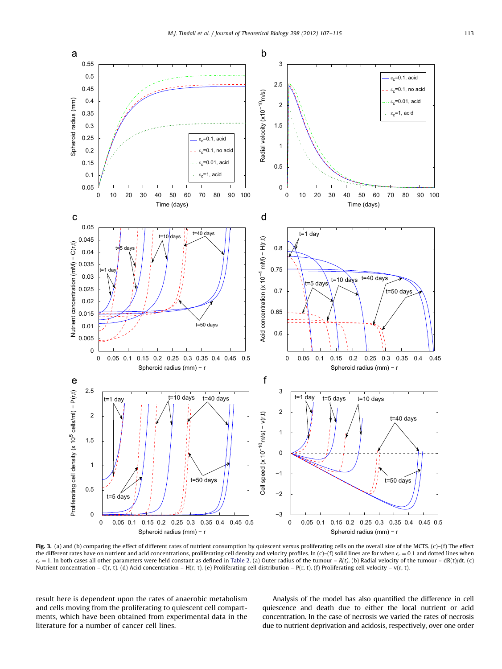<span id="page-7-0"></span>

Fig. 3. (a) and (b) comparing the effect of different rates of nutrient consumption by quiescent versus proliferating cells on the overall size of the MCTS. (c)-(f) The effect the different rates have on nutrient and acid concentrations, proliferating cell density and velocity profiles. In (c)–(f) solid lines are for when  $\epsilon_c = 0.1$  and dotted lines when  $\epsilon_c = 1$ . In both cases all other parameters were held constant as defined in [Table 2](#page-4-0). (a) Outer radius of the tumour – R(t). (b) Radial velocity of the tumour – dR(t)/dt. (c) Nutrient concentration –  $C(r, t)$ . (d) Acid concentration –  $H(r, t)$ . (e) Proliferating cell distribution –  $P(r, t)$ . (f) Proliferating cell velocity –  $v(r, t)$ .

result here is dependent upon the rates of anaerobic metabolism and cells moving from the proliferating to quiescent cell compartments, which have been obtained from experimental data in the literature for a number of cancer cell lines.

Analysis of the model has also quantified the difference in cell quiescence and death due to either the local nutrient or acid concentration. In the case of necrosis we varied the rates of necrosis due to nutrient deprivation and acidosis, respectively, over one order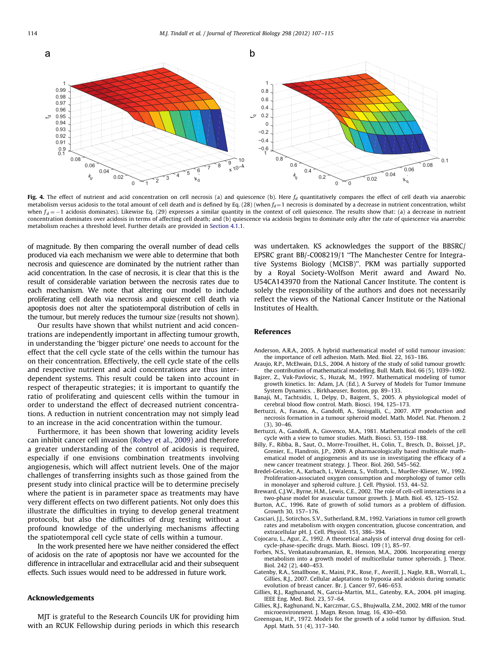<span id="page-8-0"></span>

Fig. 4. The effect of nutrient and acid concentration on cell necrosis (a) and quiescence (b). Here  $f_d$  quantitatively compares the effect of cell death via anaerobic metabolism versus acidosis to the total amount of cell death and is defined by Eq. (28) (when  $f_d = 1$  necrosis is dominated by a decrease in nutrient concentration, whilst when  $f_d = -1$  acidosis dominates). Likewise Eq. (29) expresses a similar quantity in the context of cell quiescence. The results show that: (a) a decrease in nutrient concentration dominates over acidosis in terms of affecting cell death; and (b) quiescence via acidosis begins to dominate only after the rate of quiescence via anaerobic metabolism reaches a threshold level. Further details are provided in [Section 4.1.1](#page-6-0).

of magnitude. By then comparing the overall number of dead cells produced via each mechanism we were able to determine that both necrosis and quiescence are dominated by the nutrient rather than acid concentration. In the case of necrosis, it is clear that this is the result of considerable variation between the necrosis rates due to each mechanism. We note that altering our model to include proliferating cell death via necrosis and quiescent cell death via apoptosis does not alter the spatiotemporal distribution of cells in the tumour, but merely reduces the tumour size (results not shown).

Our results have shown that whilst nutrient and acid concentrations are independently important in affecting tumour growth, in understanding the 'bigger picture' one needs to account for the effect that the cell cycle state of the cells within the tumour has on their concentration. Effectively, the cell cycle state of the cells and respective nutrient and acid concentrations are thus interdependent systems. This result could be taken into account in respect of therapeutic strategies; it is important to quantify the ratio of proliferating and quiescent cells within the tumour in order to understand the effect of decreased nutrient concentrations. A reduction in nutrient concentration may not simply lead to an increase in the acid concentration within the tumour.

Furthermore, it has been shown that lowering acidity levels can inhibit cancer cell invasion ([Robey et al., 2009](#page-9-0)) and therefore a greater understanding of the control of acidosis is required, especially if one envisions combination treatments involving angiogenesis, which will affect nutrient levels. One of the major challenges of transferring insights such as those gained from the present study into clinical practice will be to determine precisely where the patient is in parameter space as treatments may have very different effects on two different patients. Not only does this illustrate the difficulties in trying to develop general treatment protocols, but also the difficulties of drug testing without a profound knowledge of the underlying mechanisms affecting the spatiotemporal cell cycle state of cells within a tumour.

In the work presented here we have neither considered the effect of acidosis on the rate of apoptosis nor have we accounted for the difference in intracellular and extracellular acid and their subsequent effects. Such issues would need to be addressed in future work.

## Acknowledgements

MJT is grateful to the Research Councils UK for providing him with an RCUK Fellowship during periods in which this research was undertaken. KS acknowledges the support of the BBSRC/ EPSRC grant BB/-C008219/1 ''The Manchester Centre for Integrative Systems Biology (MCISB)''. PKM was partially supported by a Royal Society-Wolfson Merit award and Award No. U54CA143970 from the National Cancer Institute. The content is solely the responsibility of the authors and does not necessarily reflect the views of the National Cancer Institute or the National Institutes of Health.

#### References

- Anderson, A.R.A., 2005. A hybrid mathematical model of solid tumour invasion: the importance of cell adhesion. Math. Med. Biol. 22, 163–186.
- Araujo, R.P., McElwain, D.L.S., 2004. A history of the study of solid tumour growth: the contribution of mathematical modelling. Bull. Math. Biol. 66 (5), 1039–1092.
- Bajzer, Z., Vuk-Pavlovic, S., Huzak, M., 1997. Mathematical modeling of tumor growth kinetics. In: Adam, J.A. (Ed.), A Survey of Models for Tumor Immune System Dynamics. , Birkhaeuser, Boston, pp. 89–133.
- Banaji, M., Tachtsidis, I., Delpy, D., Baigent, S., 2005. A physiological model of cerebral blood flow control. Math. Biosci. 194, 125–173.
- Bertuzzi, A., Fasano, A., Gandolfi, A., Sinisgalli, C., 2007. ATP production and necrosis formation in a tumour spheroid model. Math. Model. Nat. Phenom. 2 (3), 30–46.
- Bertuzzi, A., Gandolfi, A., Giovenco, M.A., 1981. Mathematical models of the cell cycle with a view to tumor studies. Math. Biosci. 53, 159–188.
- Billy, F., Ribba, B., Saut, O., Morre-Trouilhet, H., Colin, T., Bresch, D., Boissel, J.P., Grenier, E., Flandrois, J.P., 2009. A pharmacologically based multiscale mathematical model of angiogenesis and its use in investigating the efficacy of a new cancer treatment strategy. J. Theor. Biol. 260, 545–562.
- Bredel-Geissler, A., Karbach, I., Walenta, S., Vollrath, L., Mueller-Klieser, W., 1992. Proliferation-associated oxygen consumption and morphology of tumor cells in monolayer and spheroid culture. J. Cell. Physiol. 153, 44–52.
- Breward, C.J.W., Byrne, H.M., Lewis, C.E., 2002. The role of cell-cell interactions in a two-phase model for avascular tumour growth. J. Math. Biol. 45, 125–152.
- Burton, A.C., 1996. Rate of growth of solid tumors as a problem of diffusion. Growth 30, 157–176.
- Casciari, J.J., Sotirchos, S.V., Sutherland, R.M., 1992. Variations in tumor cell growth rates and metabolism with oxygen concentration, glucose concentration, and extracellular pH. J. Cell. Physiol. 151, 386–394.
- Cojocaru, L., Agur, Z., 1992. A theoretical analysis of interval drug dosing for cellcycle-phase-specific drugs. Math. Biosci. 109 (1), 85–97.
- Forbes, N.S., Venkatasubramanian, R., Henson, M.A., 2006. Incorporating energy metabolism into a growth model of multicellular tumor spheroids. J. Theor. Biol. 242 (2), 440–453.
- Gatenby, R.A., Smallbone, K., Maini, P.K., Rose, F., Averill, J., Nagle, R.B., Worrall, L., Gillies, R.J., 2007. Cellular adaptations to hypoxia and acidosis during somatic evolution of breast cancer. Br. J. Cancer 97, 646–653.
- Gillies, R.J., Raghunand, N., Garcia-Martin, M.L., Gatenby, R.A., 2004. pH imaging. IEEE Eng. Med. Biol. 23, 57–64.
- Gillies, R.J., Raghunand, N., Karczmar, G.S., Bhujwalla, Z.M., 2002. MRI of the tumor microenvironment. J. Magn. Reson. Imag. 16, 430–450.
- Greenspan, H.P., 1972. Models for the growth of a solid tumor by diffusion. Stud. Appl. Math. 51 (4), 317–340.